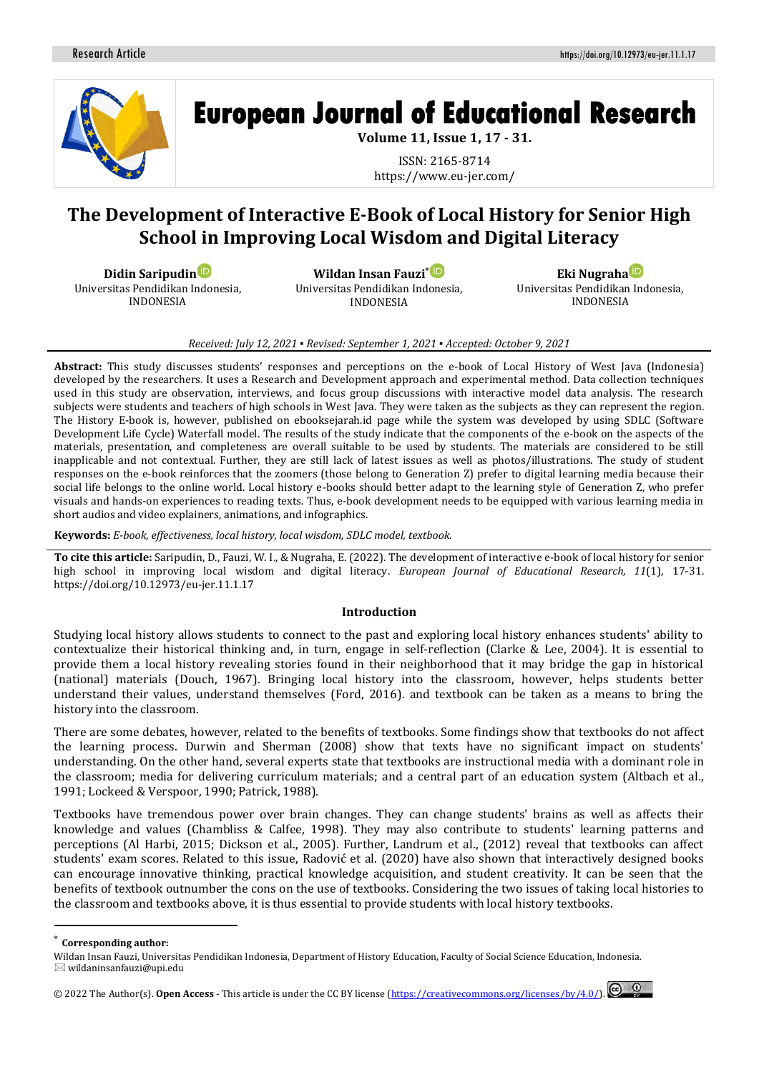

# **European Journal of Educational Research**

**Volume 11, Issue 1, 17 - 31.**

ISSN: 2165-8714 https://www.eu-jer.com/

# **The Development of Interactive E-Book of Local History for Senior High School in Improving Local Wisdom and Digital Literacy**

**Didin Saripudi[n](https://orcid.org/0000-0003-1535-9422)**

Universitas Pendidikan Indonesia, INDONESIA

**Wildan Insan Fauzi**[\\*](https://orcid.org/0000-0001-9361-421X) Universitas Pendidikan Indonesia, INDONESIA

**Eki Nugrah[a](https://orcid.org/0000-0002-6551-9167)** Universitas Pendidikan Indonesia, INDONESIA

#### *Received: July 12, 2021 ▪ Revised: September 1, 2021 ▪ Accepted: October 9, 2021*

**Abstract:** This study discusses students' responses and perceptions on the e-book of Local History of West Java (Indonesia) developed by the researchers. It uses a Research and Development approach and experimental method. Data collection techniques used in this study are observation, interviews, and focus group discussions with interactive model data analysis. The research subjects were students and teachers of high schools in West Java. They were taken as the subjects as they can represent the region. The History E-book is, however, published on ebooksejarah.id page while the system was developed by using SDLC (Software Development Life Cycle) Waterfall model. The results of the study indicate that the components of the e-book on the aspects of the materials, presentation, and completeness are overall suitable to be used by students. The materials are considered to be still inapplicable and not contextual. Further, they are still lack of latest issues as well as photos/illustrations. The study of student responses on the e-book reinforces that the zoomers (those belong to Generation Z) prefer to digital learning media because their social life belongs to the online world. Local history e-books should better adapt to the learning style of Generation Z, who prefer visuals and hands-on experiences to reading texts. Thus, e-book development needs to be equipped with various learning media in short audios and video explainers, animations, and infographics.

**Keywords:** *E-book, effectiveness, local history, local wisdom, SDLC model, textbook.*

**To cite this article:** Saripudin, D., Fauzi, W. I., & Nugraha, E. (2022). The development of interactive e-book of local history for senior high school in improving local wisdom and digital literacy. *European Journal of Educational Research, 11*(1), 17-31. https://doi.org/10.12973/eu-jer.11.1.17

#### **Introduction**

Studying local history allows students to connect to the past and exploring local history enhances students' ability to contextualize their historical thinking and, in turn, engage in self-reflection (Clarke & Lee, 2004). It is essential to provide them a local history revealing stories found in their neighborhood that it may bridge the gap in historical (national) materials (Douch, 1967). Bringing local history into the classroom, however, helps students better understand their values, understand themselves (Ford, 2016). and textbook can be taken as a means to bring the history into the classroom.

There are some debates, however, related to the benefits of textbooks. Some findings show that textbooks do not affect the learning process. Durwin and Sherman (2008) show that texts have no significant impact on students' understanding. On the other hand, several experts state that textbooks are instructional media with a dominant role in the classroom; media for delivering curriculum materials; and a central part of an education system (Altbach et al., 1991; Lockeed & Verspoor, 1990; Patrick, 1988).

Textbooks have tremendous power over brain changes. They can change students' brains as well as affects their knowledge and values (Chambliss & Calfee, 1998). They may also contribute to students' learning patterns and perceptions (Al Harbi, 2015; Dickson et al., 2005). Further, Landrum et al., (2012) reveal that textbooks can affect students' exam scores. Related to this issue, Radović et al. (2020) have also shown that interactively designed books can encourage innovative thinking, practical knowledge acquisition, and student creativity. It can be seen that the benefits of textbook outnumber the cons on the use of textbooks. Considering the two issues of taking local histories to the classroom and textbooks above, it is thus essential to provide students with local history textbooks.

<sup>\*</sup> **Corresponding author:**

Wildan Insan Fauzi, Universitas Pendidikan Indonesia, Department of History Education, Faculty of Social Science Education, Indonesia.  $\boxtimes$  wildaninsanfauzi@upi.edu

<sup>© 20</sup>22 The Author(s). **Open Access** - This article is under the CC BY license [\(https://creativecommons.org/licenses/by/4.0/\)](https://creativecommons.org/licenses/by/4.0/).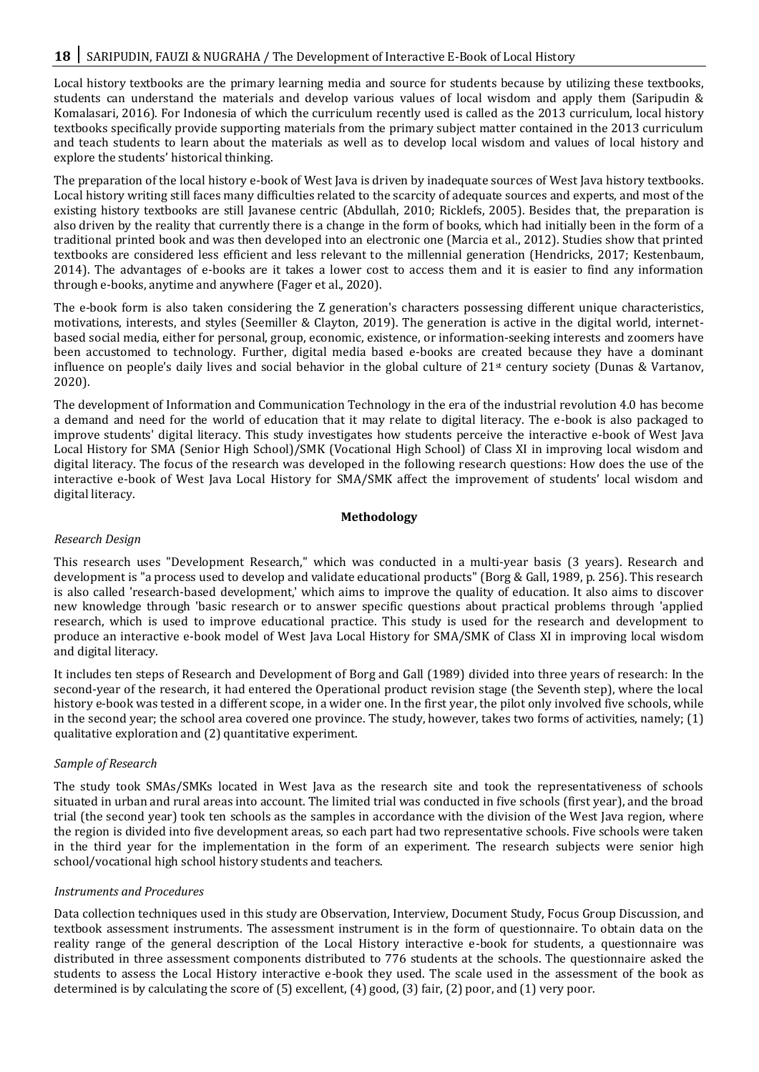Local history textbooks are the primary learning media and source for students because by utilizing these textbooks, students can understand the materials and develop various values of local wisdom and apply them (Saripudin & Komalasari, 2016). For Indonesia of which the curriculum recently used is called as the 2013 curriculum, local history textbooks specifically provide supporting materials from the primary subject matter contained in the 2013 curriculum and teach students to learn about the materials as well as to develop local wisdom and values of local history and explore the students' historical thinking.

The preparation of the local history e-book of West Java is driven by inadequate sources of West Java history textbooks. Local history writing still faces many difficulties related to the scarcity of adequate sources and experts, and most of the existing history textbooks are still Javanese centric (Abdullah, 2010; Ricklefs, 2005). Besides that, the preparation is also driven by the reality that currently there is a change in the form of books, which had initially been in the form of a traditional printed book and was then developed into an electronic one (Marcia et al., 2012). Studies show that printed textbooks are considered less efficient and less relevant to the millennial generation (Hendricks, 2017; Kestenbaum, 2014). The advantages of e-books are it takes a lower cost to access them and it is easier to find any information through e-books, anytime and anywhere (Fager et al., 2020).

The e-book form is also taken considering the Z generation's characters possessing different unique characteristics, motivations, interests, and styles (Seemiller & Clayton, 2019). The generation is active in the digital world, internetbased social media, either for personal, group, economic, existence, or information-seeking interests and zoomers have been accustomed to technology. Further, digital media based e-books are created because they have a dominant influence on people's daily lives and social behavior in the global culture of  $21<sup>st</sup>$  century society (Dunas & Vartanov, 2020).

The development of Information and Communication Technology in the era of the industrial revolution 4.0 has become a demand and need for the world of education that it may relate to digital literacy. The e-book is also packaged to improve students' digital literacy. This study investigates how students perceive the interactive e-book of West Java Local History for SMA (Senior High School)/SMK (Vocational High School) of Class XI in improving local wisdom and digital literacy. The focus of the research was developed in the following research questions: How does the use of the interactive e-book of West Java Local History for SMA/SMK affect the improvement of students' local wisdom and digital literacy.

# **Methodology**

# *Research Design*

This research uses "Development Research," which was conducted in a multi-year basis (3 years). Research and development is "a process used to develop and validate educational products" (Borg & Gall, 1989, p. 256). This research is also called 'research-based development,' which aims to improve the quality of education. It also aims to discover new knowledge through 'basic research or to answer specific questions about practical problems through 'applied research, which is used to improve educational practice. This study is used for the research and development to produce an interactive e-book model of West Java Local History for SMA/SMK of Class XI in improving local wisdom and digital literacy.

It includes ten steps of Research and Development of Borg and Gall (1989) divided into three years of research: In the second-year of the research, it had entered the Operational product revision stage (the Seventh step), where the local history e-book was tested in a different scope, in a wider one. In the first year, the pilot only involved five schools, while in the second year; the school area covered one province. The study, however, takes two forms of activities, namely; (1) qualitative exploration and (2) quantitative experiment.

# *Sample of Research*

The study took SMAs/SMKs located in West Java as the research site and took the representativeness of schools situated in urban and rural areas into account. The limited trial was conducted in five schools (first year), and the broad trial (the second year) took ten schools as the samples in accordance with the division of the West Java region, where the region is divided into five development areas, so each part had two representative schools. Five schools were taken in the third year for the implementation in the form of an experiment. The research subjects were senior high school/vocational high school history students and teachers.

#### *Instruments and Procedures*

Data collection techniques used in this study are Observation, Interview, Document Study, Focus Group Discussion, and textbook assessment instruments. The assessment instrument is in the form of questionnaire. To obtain data on the reality range of the general description of the Local History interactive e-book for students, a questionnaire was distributed in three assessment components distributed to 776 students at the schools. The questionnaire asked the students to assess the Local History interactive e-book they used. The scale used in the assessment of the book as determined is by calculating the score of (5) excellent, (4) good, (3) fair, (2) poor, and (1) very poor.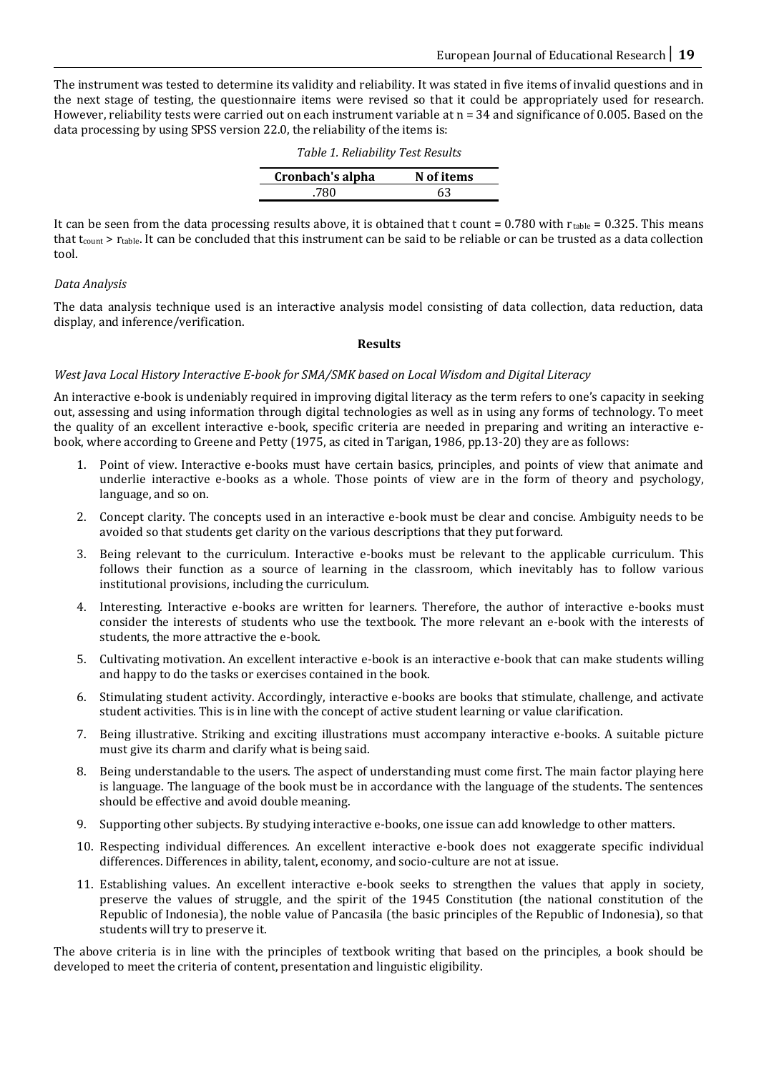The instrument was tested to determine its validity and reliability. It was stated in five items of invalid questions and in the next stage of testing, the questionnaire items were revised so that it could be appropriately used for research. However, reliability tests were carried out on each instrument variable at  $n = 34$  and significance of 0.005. Based on the data processing by using SPSS version 22.0, the reliability of the items is:

| Table 1. Reliability Test Results |            |  |  |
|-----------------------------------|------------|--|--|
| Cronbach's alpha                  | N of items |  |  |
| .780                              | 63         |  |  |
|                                   |            |  |  |

It can be seen from the data processing results above, it is obtained that t count =  $0.780$  with  $r_{table} = 0.325$ . This means that  $t_{\text{count}}$  >  $r_{\text{table}}$ . It can be concluded that this instrument can be said to be reliable or can be trusted as a data collection tool.

# *Data Analysis*

The data analysis technique used is an interactive analysis model consisting of data collection, data reduction, data display, and inference/verification.

# **Results**

#### *West Java Local History Interactive E-book for SMA/SMK based on Local Wisdom and Digital Literacy*

An interactive e-book is undeniably required in improving digital literacy as the term refers to one's capacity in seeking out, assessing and using information through digital technologies as well as in using any forms of technology. To meet the quality of an excellent interactive e-book, specific criteria are needed in preparing and writing an interactive ebook, where according to Greene and Petty (1975, as cited in Tarigan, 1986, pp.13-20) they are as follows:

- 1. Point of view. Interactive e-books must have certain basics, principles, and points of view that animate and underlie interactive e-books as a whole. Those points of view are in the form of theory and psychology, language, and so on.
- 2. Concept clarity. The concepts used in an interactive e-book must be clear and concise. Ambiguity needs to be avoided so that students get clarity on the various descriptions that they put forward.
- 3. Being relevant to the curriculum. Interactive e-books must be relevant to the applicable curriculum. This follows their function as a source of learning in the classroom, which inevitably has to follow various institutional provisions, including the curriculum.
- 4. Interesting. Interactive e-books are written for learners. Therefore, the author of interactive e-books must consider the interests of students who use the textbook. The more relevant an e-book with the interests of students, the more attractive the e-book.
- 5. Cultivating motivation. An excellent interactive e-book is an interactive e-book that can make students willing and happy to do the tasks or exercises contained in the book.
- 6. Stimulating student activity. Accordingly, interactive e-books are books that stimulate, challenge, and activate student activities. This is in line with the concept of active student learning or value clarification.
- 7. Being illustrative. Striking and exciting illustrations must accompany interactive e-books. A suitable picture must give its charm and clarify what is being said.
- 8. Being understandable to the users. The aspect of understanding must come first. The main factor playing here is language. The language of the book must be in accordance with the language of the students. The sentences should be effective and avoid double meaning.
- 9. Supporting other subjects. By studying interactive e-books, one issue can add knowledge to other matters.
- 10. Respecting individual differences. An excellent interactive e-book does not exaggerate specific individual differences. Differences in ability, talent, economy, and socio-culture are not at issue.
- 11. Establishing values. An excellent interactive e-book seeks to strengthen the values that apply in society, preserve the values of struggle, and the spirit of the 1945 Constitution (the national constitution of the Republic of Indonesia), the noble value of Pancasila (the basic principles of the Republic of Indonesia), so that students will try to preserve it.

The above criteria is in line with the principles of textbook writing that based on the principles, a book should be developed to meet the criteria of content, presentation and linguistic eligibility.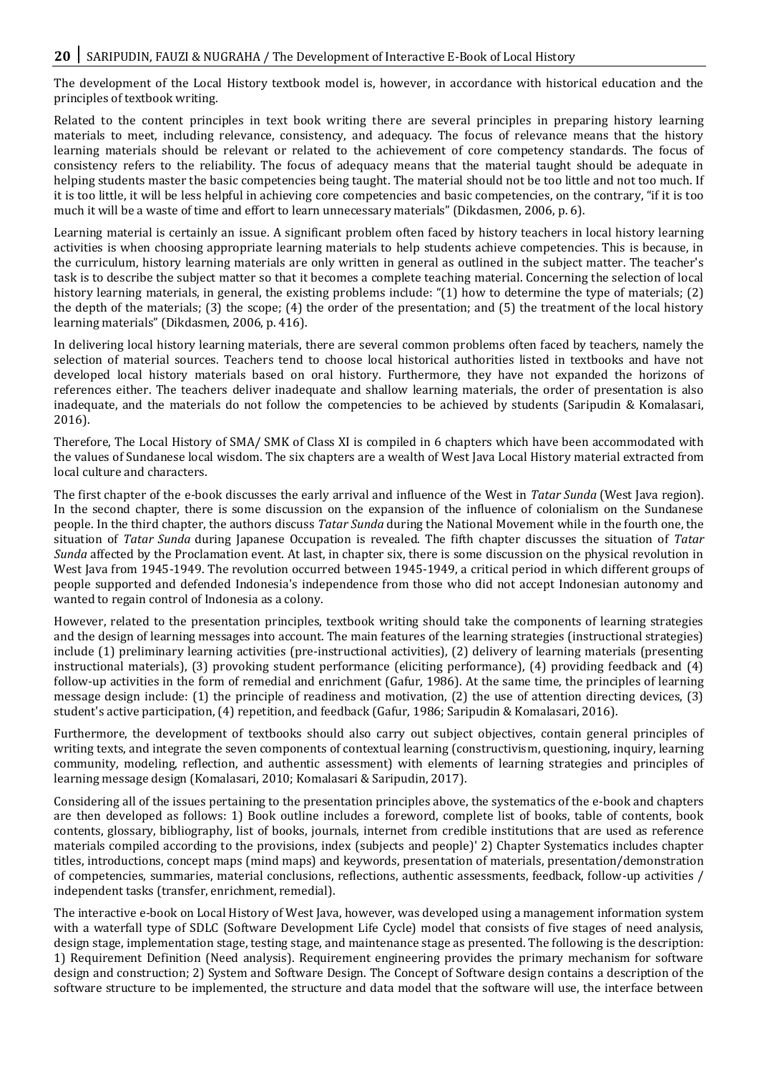The development of the Local History textbook model is, however, in accordance with historical education and the principles of textbook writing.

Related to the content principles in text book writing there are several principles in preparing history learning materials to meet, including relevance, consistency, and adequacy. The focus of relevance means that the history learning materials should be relevant or related to the achievement of core competency standards. The focus of consistency refers to the reliability. The focus of adequacy means that the material taught should be adequate in helping students master the basic competencies being taught. The material should not be too little and not too much. If it is too little, it will be less helpful in achieving core competencies and basic competencies, on the contrary, "if it is too much it will be a waste of time and effort to learn unnecessary materials" (Dikdasmen, 2006, p. 6).

Learning material is certainly an issue. A significant problem often faced by history teachers in local history learning activities is when choosing appropriate learning materials to help students achieve competencies. This is because, in the curriculum, history learning materials are only written in general as outlined in the subject matter. The teacher's task is to describe the subject matter so that it becomes a complete teaching material. Concerning the selection of local history learning materials, in general, the existing problems include: "(1) how to determine the type of materials; (2) the depth of the materials; (3) the scope; (4) the order of the presentation; and (5) the treatment of the local history learning materials" (Dikdasmen, 2006, p. 416).

In delivering local history learning materials, there are several common problems often faced by teachers, namely the selection of material sources. Teachers tend to choose local historical authorities listed in textbooks and have not developed local history materials based on oral history. Furthermore, they have not expanded the horizons of references either. The teachers deliver inadequate and shallow learning materials, the order of presentation is also inadequate, and the materials do not follow the competencies to be achieved by students (Saripudin & Komalasari, 2016).

Therefore, The Local History of SMA/ SMK of Class XI is compiled in 6 chapters which have been accommodated with the values of Sundanese local wisdom. The six chapters are a wealth of West Java Local History material extracted from local culture and characters.

The first chapter of the e-book discusses the early arrival and influence of the West in *Tatar Sunda* (West Java region). In the second chapter, there is some discussion on the expansion of the influence of colonialism on the Sundanese people. In the third chapter, the authors discuss *Tatar Sunda* during the National Movement while in the fourth one, the situation of *Tatar Sunda* during Japanese Occupation is revealed. The fifth chapter discusses the situation of *Tatar Sunda* affected by the Proclamation event. At last, in chapter six, there is some discussion on the physical revolution in West Java from 1945-1949. The revolution occurred between 1945-1949, a critical period in which different groups of people supported and defended Indonesia's independence from those who did not accept Indonesian autonomy and wanted to regain control of Indonesia as a colony.

However, related to the presentation principles, textbook writing should take the components of learning strategies and the design of learning messages into account. The main features of the learning strategies (instructional strategies) include (1) preliminary learning activities (pre-instructional activities), (2) delivery of learning materials (presenting instructional materials), (3) provoking student performance (eliciting performance), (4) providing feedback and (4) follow-up activities in the form of remedial and enrichment (Gafur, 1986). At the same time, the principles of learning message design include: (1) the principle of readiness and motivation, (2) the use of attention directing devices, (3) student's active participation, (4) repetition, and feedback (Gafur, 1986; Saripudin & Komalasari, 2016).

Furthermore, the development of textbooks should also carry out subject objectives, contain general principles of writing texts, and integrate the seven components of contextual learning (constructivism, questioning, inquiry, learning community, modeling, reflection, and authentic assessment) with elements of learning strategies and principles of learning message design (Komalasari, 2010; Komalasari & Saripudin, 2017).

Considering all of the issues pertaining to the presentation principles above, the systematics of the e-book and chapters are then developed as follows: 1) Book outline includes a foreword, complete list of books, table of contents, book contents, glossary, bibliography, list of books, journals, internet from credible institutions that are used as reference materials compiled according to the provisions, index (subjects and people)' 2) Chapter Systematics includes chapter titles, introductions, concept maps (mind maps) and keywords, presentation of materials, presentation/demonstration of competencies, summaries, material conclusions, reflections, authentic assessments, feedback, follow-up activities / independent tasks (transfer, enrichment, remedial).

The interactive e-book on Local History of West Java, however, was developed using a management information system with a waterfall type of SDLC (Software Development Life Cycle) model that consists of five stages of need analysis, design stage, implementation stage, testing stage, and maintenance stage as presented. The following is the description: 1) Requirement Definition (Need analysis). Requirement engineering provides the primary mechanism for software design and construction; 2) System and Software Design. The Concept of Software design contains a description of the software structure to be implemented, the structure and data model that the software will use, the interface between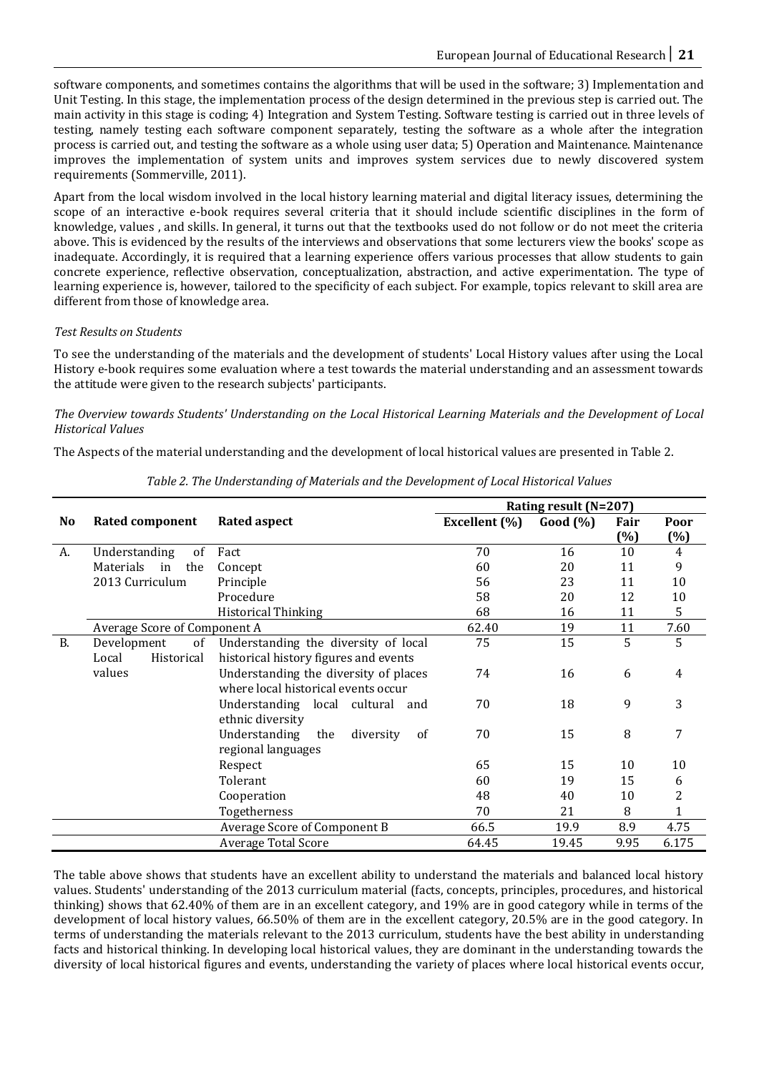software components, and sometimes contains the algorithms that will be used in the software; 3) Implementation and Unit Testing. In this stage, the implementation process of the design determined in the previous step is carried out. The main activity in this stage is coding; 4) Integration and System Testing. Software testing is carried out in three levels of testing, namely testing each software component separately, testing the software as a whole after the integration process is carried out, and testing the software as a whole using user data; 5) Operation and Maintenance. Maintenance improves the implementation of system units and improves system services due to newly discovered system requirements (Sommerville, 2011).

Apart from the local wisdom involved in the local history learning material and digital literacy issues, determining the scope of an interactive e-book requires several criteria that it should include scientific disciplines in the form of knowledge, values , and skills. In general, it turns out that the textbooks used do not follow or do not meet the criteria above. This is evidenced by the results of the interviews and observations that some lecturers view the books' scope as inadequate. Accordingly, it is required that a learning experience offers various processes that allow students to gain concrete experience, reflective observation, conceptualization, abstraction, and active experimentation. The type of learning experience is, however, tailored to the specificity of each subject. For example, topics relevant to skill area are different from those of knowledge area.

# *Test Results on Students*

To see the understanding of the materials and the development of students' Local History values after using the Local History e-book requires some evaluation where a test towards the material understanding and an assessment towards the attitude were given to the research subjects' participants.

# *The Overview towards Students' Understanding on the Local Historical Learning Materials and the Development of Local Historical Values*

The Aspects of the material understanding and the development of local historical values are presented in Table 2.

|                |                              |                                         |               | Rating result (N=207) |        |                |
|----------------|------------------------------|-----------------------------------------|---------------|-----------------------|--------|----------------|
| N <sub>0</sub> | <b>Rated component</b>       | <b>Rated aspect</b>                     | Excellent (%) | Good (%)              | Fair   | Poor           |
|                |                              |                                         |               |                       | $(\%)$ | $(\%)$         |
| А.             | Understanding<br>of          | Fact                                    | 70            | 16                    | 10     | $\overline{4}$ |
|                | Materials<br>in<br>the       | Concept                                 | 60            | 20                    | 11     | 9              |
|                | 2013 Curriculum              | Principle                               | 56            | 23                    | 11     | 10             |
|                |                              | Procedure                               | 58            | 20                    | 12     | 10             |
|                |                              | <b>Historical Thinking</b>              | 68            | 16                    | 11     | 5              |
|                | Average Score of Component A |                                         | 62.40         | 19                    | 11     | 7.60           |
| <b>B.</b>      | of<br>Development            | Understanding the diversity of local    | 75            | 15                    | 5      | 5              |
|                | Local<br>Historical          | historical history figures and events   |               |                       |        |                |
|                | values                       | Understanding the diversity of places   | 74            | 16                    | 6      | 4              |
|                |                              | where local historical events occur     |               |                       |        |                |
|                |                              | Understanding local cultural and        | 70            | 18                    | 9      | 3              |
|                |                              | ethnic diversity                        |               |                       |        |                |
|                |                              | Understanding<br>diversity<br>the<br>0f | 70            | 15                    | 8      | 7              |
|                |                              | regional languages                      |               |                       |        |                |
|                |                              | Respect                                 | 65            | 15                    | 10     | 10             |
|                |                              | Tolerant                                | 60            | 19                    | 15     | 6              |
|                |                              | Cooperation                             | 48            | 40                    | 10     | 2              |
|                |                              | Togetherness                            | 70            | 21                    | 8      | 1              |
|                |                              | Average Score of Component B            | 66.5          | 19.9                  | 8.9    | 4.75           |
|                |                              | <b>Average Total Score</b>              | 64.45         | 19.45                 | 9.95   | 6.175          |

*Table 2. The Understanding of Materials and the Development of Local Historical Values*

The table above shows that students have an excellent ability to understand the materials and balanced local history values. Students' understanding of the 2013 curriculum material (facts, concepts, principles, procedures, and historical thinking) shows that 62.40% of them are in an excellent category, and 19% are in good category while in terms of the development of local history values, 66.50% of them are in the excellent category, 20.5% are in the good category. In terms of understanding the materials relevant to the 2013 curriculum, students have the best ability in understanding facts and historical thinking. In developing local historical values, they are dominant in the understanding towards the diversity of local historical figures and events, understanding the variety of places where local historical events occur,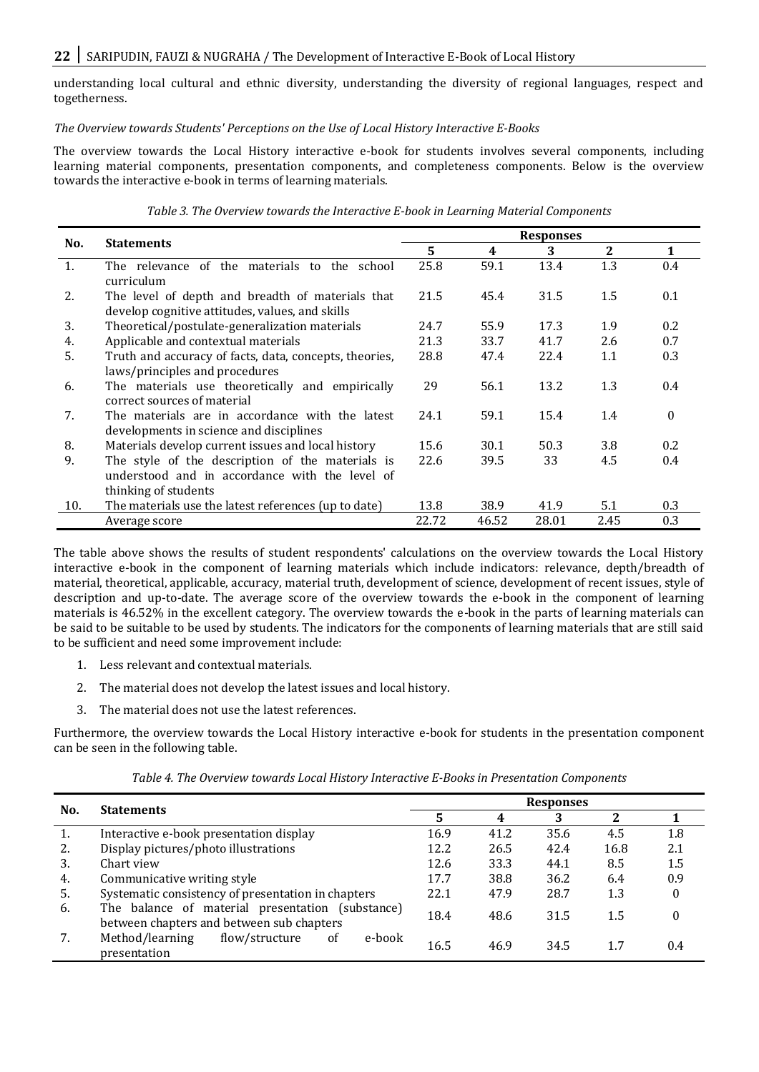# 22 SARIPUDIN, FAUZI & NUGRAHA / The Development of Interactive E-Book of Local History

understanding local cultural and ethnic diversity, understanding the diversity of regional languages, respect and togetherness.

# *The Overview towards Students' Perceptions on the Use of Local History Interactive E-Books*

The overview towards the Local History interactive e-book for students involves several components, including learning material components, presentation components, and completeness components. Below is the overview towards the interactive e-book in terms of learning materials.

*Table 3. The Overview towards the Interactive E-book in Learning Material Components*

|     |                                                        |       |       | <b>Responses</b> |                  |          |
|-----|--------------------------------------------------------|-------|-------|------------------|------------------|----------|
| No. | <b>Statements</b>                                      | 5     | 4     | 3                | $\boldsymbol{2}$ | 1        |
| 1.  | The relevance of the materials to the school           | 25.8  | 59.1  | 13.4             | 1.3              | 0.4      |
|     | curriculum                                             |       |       |                  |                  |          |
| 2.  | The level of depth and breadth of materials that       | 21.5  | 45.4  | 31.5             | 1.5              | 0.1      |
|     | develop cognitive attitudes, values, and skills        |       |       |                  |                  |          |
| 3.  | Theoretical/postulate-generalization materials         | 24.7  | 55.9  | 17.3             | 1.9              | 0.2      |
| 4.  | Applicable and contextual materials                    | 21.3  | 33.7  | 41.7             | 2.6              | 0.7      |
| 5.  | Truth and accuracy of facts, data, concepts, theories, | 28.8  | 47.4  | 22.4             | 1.1              | 0.3      |
|     | laws/principles and procedures                         |       |       |                  |                  |          |
| 6.  | The materials use theoretically and empirically        | 29    | 56.1  | 13.2             | 1.3              | 0.4      |
|     | correct sources of material                            |       |       |                  |                  |          |
| 7.  | The materials are in accordance with the latest        | 24.1  | 59.1  | 15.4             | 1.4              | $\theta$ |
|     | developments in science and disciplines                |       |       |                  |                  |          |
| 8.  | Materials develop current issues and local history     | 15.6  | 30.1  | 50.3             | 3.8              | 0.2      |
| 9.  | The style of the description of the materials is       | 22.6  | 39.5  | 33               | 4.5              | 0.4      |
|     | understood and in accordance with the level of         |       |       |                  |                  |          |
|     | thinking of students                                   |       |       |                  |                  |          |
| 10. | The materials use the latest references (up to date)   | 13.8  | 38.9  | 41.9             | 5.1              | 0.3      |
|     | Average score                                          | 22.72 | 46.52 | 28.01            | 2.45             | 0.3      |

The table above shows the results of student respondents' calculations on the overview towards the Local History interactive e-book in the component of learning materials which include indicators: relevance, depth/breadth of material, theoretical, applicable, accuracy, material truth, development of science, development of recent issues, style of description and up-to-date. The average score of the overview towards the e-book in the component of learning materials is 46.52% in the excellent category. The overview towards the e-book in the parts of learning materials can be said to be suitable to be used by students. The indicators for the components of learning materials that are still said to be sufficient and need some improvement include:

- 1. Less relevant and contextual materials.
- 2. The material does not develop the latest issues and local history.
- 3. The material does not use the latest references.

Furthermore, the overview towards the Local History interactive e-book for students in the presentation component can be seen in the following table.

*Table 4. The Overview towards Local History Interactive E-Books in Presentation Components*

| No. | <b>Statements</b>                                                                             |      |      | <b>Responses</b> |      |          |
|-----|-----------------------------------------------------------------------------------------------|------|------|------------------|------|----------|
|     |                                                                                               | 5    |      | 3                | 2    |          |
| 1.  | Interactive e-book presentation display                                                       | 16.9 | 41.2 | 35.6             | 4.5  | 1.8      |
| 2.  | Display pictures/photo illustrations                                                          | 12.2 | 26.5 | 42.4             | 16.8 | 2.1      |
| 3.  | Chart view                                                                                    | 12.6 | 33.3 | 44.1             | 8.5  | $1.5\,$  |
| 4.  | Communicative writing style                                                                   | 17.7 | 38.8 | 36.2             | 6.4  | 0.9      |
| 5.  | Systematic consistency of presentation in chapters                                            | 22.1 | 47.9 | 28.7             | 1.3  | $\theta$ |
| 6.  | The balance of material presentation (substance)<br>between chapters and between sub chapters |      | 48.6 | 31.5             | 1.5  | 0        |
|     | Method/learning<br>flow/structure<br><sub>of</sub><br>e-book<br>presentation                  | 16.5 | 46.9 | 34.5             | 1.7  | 0.4      |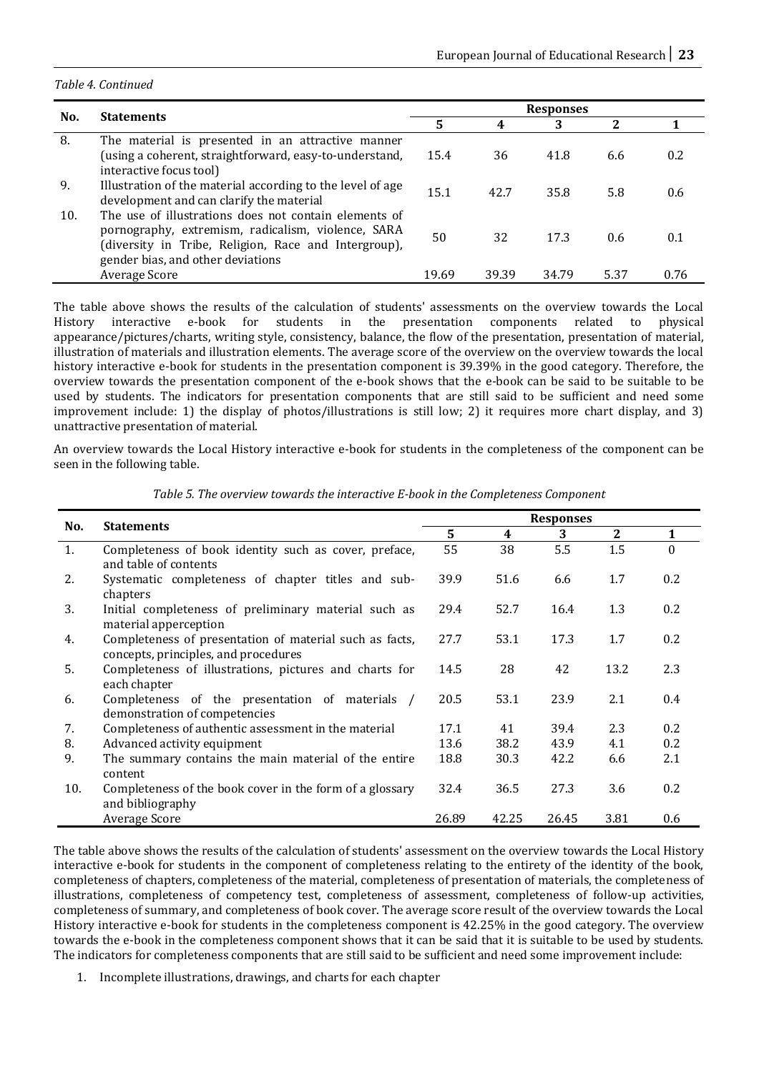#### *Table 4. Continued*

|     |                                                            |       | <b>Responses</b> |                    |      |      |
|-----|------------------------------------------------------------|-------|------------------|--------------------|------|------|
| No. | <b>Statements</b>                                          | 5     |                  | 3                  | 2    |      |
| 8.  | The material is presented in an attractive manner          |       |                  |                    |      |      |
|     | (using a coherent, straightforward, easy-to-understand,    | 15.4  | 36               | 41.8               | 6.6  | 0.2  |
|     | interactive focus tool)                                    |       |                  |                    |      |      |
| 9.  | Illustration of the material according to the level of age | 15.1  | 42.7             |                    |      |      |
|     | development and can clarify the material                   |       |                  | 35.8<br>5.8<br>0.6 |      |      |
| 10. | The use of illustrations does not contain elements of      |       |                  |                    |      |      |
|     | pornography, extremism, radicalism, violence, SARA         | 50    | 32               | 173                | 0.6  | 0.1  |
|     | (diversity in Tribe, Religion, Race and Intergroup),       |       |                  |                    |      |      |
|     | gender bias, and other deviations                          |       |                  |                    |      |      |
|     | Average Score                                              | 19.69 | 39.39            | 34.79              | 5.37 | 0.76 |

The table above shows the results of the calculation of students' assessments on the overview towards the Local History interactive e-book for students in the presentation components related to physical appearance/pictures/charts, writing style, consistency, balance, the flow of the presentation, presentation of material, illustration of materials and illustration elements. The average score of the overview on the overview towards the local history interactive e-book for students in the presentation component is 39.39% in the good category. Therefore, the overview towards the presentation component of the e-book shows that the e-book can be said to be suitable to be used by students. The indicators for presentation components that are still said to be sufficient and need some improvement include: 1) the display of photos/illustrations is still low; 2) it requires more chart display, and 3) unattractive presentation of material.

An overview towards the Local History interactive e-book for students in the completeness of the component can be seen in the following table.

|     |                                                                                                 |       |       | <b>Responses</b> |              |          |
|-----|-------------------------------------------------------------------------------------------------|-------|-------|------------------|--------------|----------|
| No. | <b>Statements</b>                                                                               | 5     | 4     | 3                | $\mathbf{2}$ | 1        |
| 1.  | Completeness of book identity such as cover, preface,<br>and table of contents                  | 55    | 38    | 5.5              | 1.5          | $\theta$ |
| 2.  | Systematic completeness of chapter titles and sub-<br>chapters                                  | 39.9  | 51.6  | 6.6              | 1.7          | 0.2      |
| 3.  | Initial completeness of preliminary material such as<br>material apperception                   | 29.4  | 52.7  | 16.4             | 1.3          | 0.2      |
| 4.  | Completeness of presentation of material such as facts,<br>concepts, principles, and procedures | 27.7  | 53.1  | 17.3             | 1.7          | 0.2      |
| 5.  | Completeness of illustrations, pictures and charts for<br>each chapter                          | 14.5  | 28    | 42               | 13.2         | 2.3      |
| 6.  | Completeness of the presentation of materials /<br>demonstration of competencies                | 20.5  | 53.1  | 23.9             | 2.1          | 0.4      |
| 7.  | Completeness of authentic assessment in the material                                            | 17.1  | 41    | 39.4             | 2.3          | 0.2      |
| 8.  | Advanced activity equipment                                                                     | 13.6  | 38.2  | 43.9             | 4.1          | 0.2      |
| 9.  | The summary contains the main material of the entire<br>content                                 | 18.8  | 30.3  | 42.2             | 6.6          | 2.1      |
| 10. | Completeness of the book cover in the form of a glossary<br>and bibliography                    | 32.4  | 36.5  | 27.3             | 3.6          | 0.2      |
|     | Average Score                                                                                   | 26.89 | 42.25 | 26.45            | 3.81         | 0.6      |

*Table 5. The overview towards the interactive E-book in the Completeness Component*

The table above shows the results of the calculation of students' assessment on the overview towards the Local History interactive e-book for students in the component of completeness relating to the entirety of the identity of the book, completeness of chapters, completeness of the material, completeness of presentation of materials, the completeness of illustrations, completeness of competency test, completeness of assessment, completeness of follow-up activities, completeness of summary, and completeness of book cover. The average score result of the overview towards the Local History interactive e-book for students in the completeness component is 42.25% in the good category. The overview towards the e-book in the completeness component shows that it can be said that it is suitable to be used by students. The indicators for completeness components that are still said to be sufficient and need some improvement include:

1. Incomplete illustrations, drawings, and charts for each chapter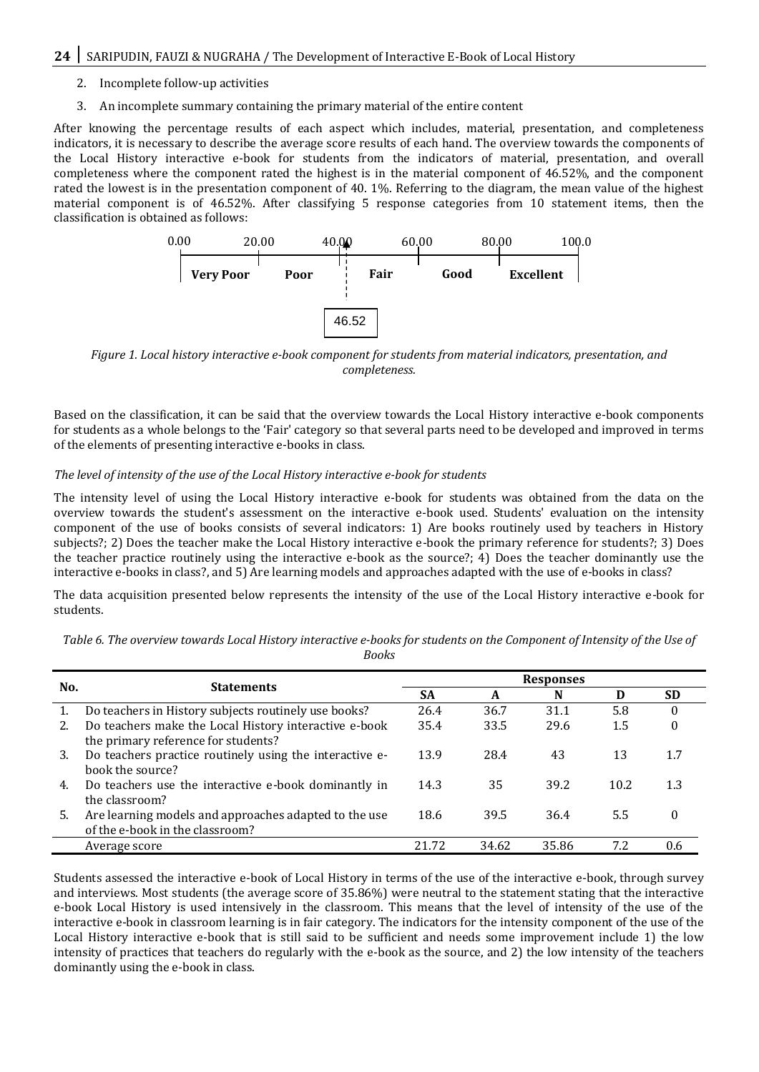- 2. Incomplete follow-up activities
- 3. An incomplete summary containing the primary material of the entire content

After knowing the percentage results of each aspect which includes, material, presentation, and completeness indicators, it is necessary to describe the average score results of each hand. The overview towards the components of the Local History interactive e-book for students from the indicators of material, presentation, and overall completeness where the component rated the highest is in the material component of 46.52%, and the component rated the lowest is in the presentation component of 40. 1%. Referring to the diagram, the mean value of the highest material component is of 46.52%. After classifying 5 response categories from 10 statement items, then the classification is obtained as follows:



*Figure 1. Local history interactive e-book component for students from material indicators, presentation, and completeness.*

Based on the classification, it can be said that the overview towards the Local History interactive e-book components for students as a whole belongs to the 'Fair' category so that several parts need to be developed and improved in terms of the elements of presenting interactive e-books in class.

# *The level of intensity of the use of the Local History interactive e-book for students*

The intensity level of using the Local History interactive e-book for students was obtained from the data on the overview towards the student's assessment on the interactive e-book used. Students' evaluation on the intensity component of the use of books consists of several indicators: 1) Are books routinely used by teachers in History subjects?; 2) Does the teacher make the Local History interactive e-book the primary reference for students?; 3) Does the teacher practice routinely using the interactive e-book as the source?; 4) Does the teacher dominantly use the interactive e-books in class?, and 5) Are learning models and approaches adapted with the use of e-books in class?

The data acquisition presented below represents the intensity of the use of the Local History interactive e-book for students.

*Table 6. The overview towards Local History interactive e-books for students on the Component of Intensity of the Use of* 

*Books*

| No. | <b>Statements</b>                                       |           | <b>Responses</b> |       |      |           |  |  |
|-----|---------------------------------------------------------|-----------|------------------|-------|------|-----------|--|--|
|     |                                                         | <b>SA</b> | A                | N     | D    | <b>SD</b> |  |  |
| 1.  | Do teachers in History subjects routinely use books?    | 26.4      | 36.7             | 31.1  | 5.8  | 0         |  |  |
| 2.  | Do teachers make the Local History interactive e-book   | 35.4      | 33.5             | 29.6  | 1.5  | $\Omega$  |  |  |
|     | the primary reference for students?                     |           |                  |       |      |           |  |  |
| 3.  | Do teachers practice routinely using the interactive e- | 13.9      | 28.4             | 43    | 13   |           |  |  |
|     | hook the source?                                        |           |                  |       |      |           |  |  |
| 4.  | Do teachers use the interactive e-book dominantly in    | 14.3      | 35               | 39.2  | 10.2 | 1.3       |  |  |
|     | the classroom?                                          |           |                  |       |      |           |  |  |
| 5.  | Are learning models and approaches adapted to the use   | 18.6      | 39.5             | 36.4  | 5.5  | 0         |  |  |
|     | of the e-book in the classroom?                         |           |                  |       |      |           |  |  |
|     | Average score                                           | 21.72     | 34.62            | 35.86 | 7.2  | 0.6       |  |  |

Students assessed the interactive e-book of Local History in terms of the use of the interactive e-book, through survey and interviews. Most students (the average score of 35.86%) were neutral to the statement stating that the interactive e-book Local History is used intensively in the classroom. This means that the level of intensity of the use of the interactive e-book in classroom learning is in fair category. The indicators for the intensity component of the use of the Local History interactive e-book that is still said to be sufficient and needs some improvement include 1) the low intensity of practices that teachers do regularly with the e-book as the source, and 2) the low intensity of the teachers dominantly using the e-book in class.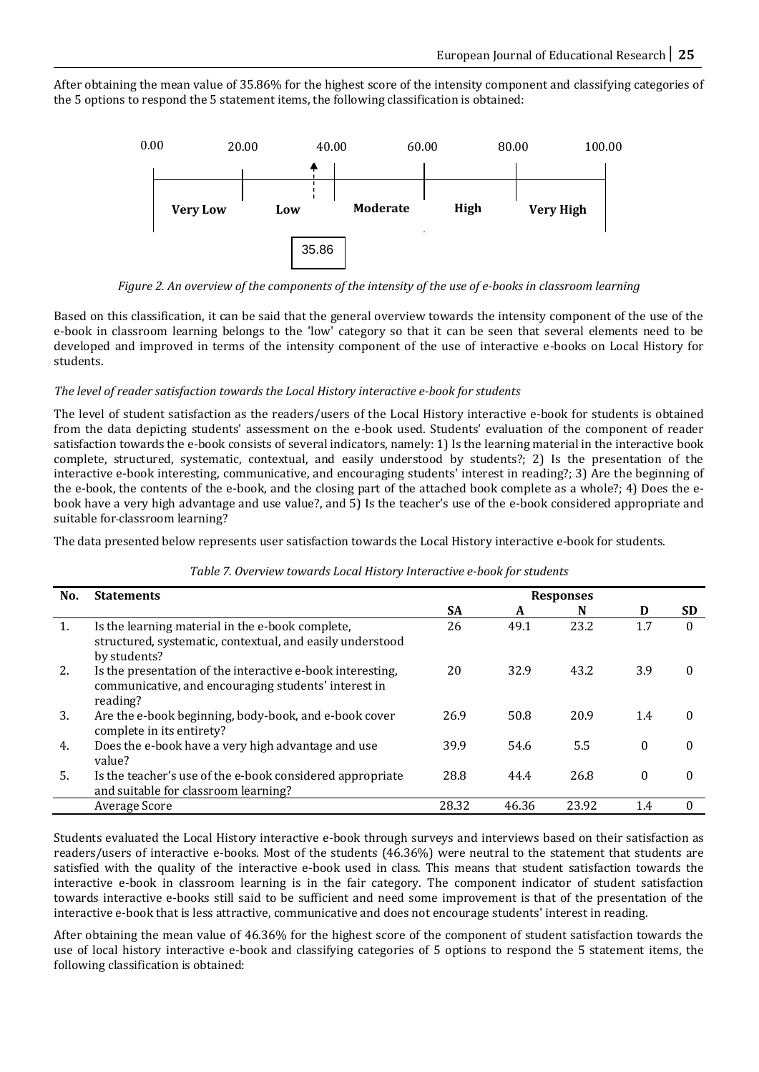After obtaining the mean value of 35.86% for the highest score of the intensity component and classifying categories of the 5 options to respond the 5 statement items, the following classification is obtained:



*Figure 2. An overview of the components of the intensity of the use of e-books in classroom learning*

Based on this classification, it can be said that the general overview towards the intensity component of the use of the e-book in classroom learning belongs to the 'low' category so that it can be seen that several elements need to be developed and improved in terms of the intensity component of the use of interactive e-books on Local History for students.

# *The level of reader satisfaction towards the Local History interactive e-book for students*

The level of student satisfaction as the readers/users of the Local History interactive e-book for students is obtained from the data depicting students' assessment on the e-book used. Students' evaluation of the component of reader satisfaction towards the e-book consists of several indicators, namely: 1) Is the learning material in the interactive book complete, structured, systematic, contextual, and easily understood by students?; 2) Is the presentation of the interactive e-book interesting, communicative, and encouraging students' interest in reading?; 3) Are the beginning of the e-book, the contents of the e-book, and the closing part of the attached book complete as a whole?; 4) Does the ebook have a very high advantage and use value?, and 5) Is the teacher's use of the e-book considered appropriate and suitable for classroom learning?

The data presented below represents user satisfaction towards the Local History interactive e-book for students.

| No. | <b>Statements</b>                                                                                                              | <b>Responses</b> |       |       |          |              |
|-----|--------------------------------------------------------------------------------------------------------------------------------|------------------|-------|-------|----------|--------------|
|     |                                                                                                                                | <b>SA</b>        | A     | N     | D        | <b>SD</b>    |
| 1.  | Is the learning material in the e-book complete,<br>structured, systematic, contextual, and easily understood<br>by students?  | 26               | 49.1  | 23.2  | 1.7      | $\Omega$     |
| 2.  | Is the presentation of the interactive e-book interesting,<br>communicative, and encouraging students' interest in<br>reading? | 20               | 32.9  | 43.2  | 3.9      | $\Omega$     |
| 3.  | Are the e-book beginning, body-book, and e-book cover<br>complete in its entirety?                                             | 26.9             | 50.8  | 20.9  | 1.4      | $\Omega$     |
| 4.  | Does the e-book have a very high advantage and use<br>value?                                                                   | 39.9             | 54.6  | 5.5   | $\theta$ | 0            |
| 5.  | Is the teacher's use of the e-book considered appropriate<br>and suitable for classroom learning?                              | 28.8             | 44.4  | 26.8  | $\theta$ | $\mathbf{0}$ |
|     | Average Score                                                                                                                  | 28.32            | 46.36 | 23.92 | 1.4      |              |

#### *Table 7. Overview towards Local History Interactive e-book for students*

Students evaluated the Local History interactive e-book through surveys and interviews based on their satisfaction as readers/users of interactive e-books. Most of the students (46.36%) were neutral to the statement that students are satisfied with the quality of the interactive e-book used in class. This means that student satisfaction towards the interactive e-book in classroom learning is in the fair category. The component indicator of student satisfaction towards interactive e-books still said to be sufficient and need some improvement is that of the presentation of the interactive e-book that is less attractive, communicative and does not encourage students' interest in reading.

After obtaining the mean value of 46.36% for the highest score of the component of student satisfaction towards the use of local history interactive e-book and classifying categories of 5 options to respond the 5 statement items, the following classification is obtained: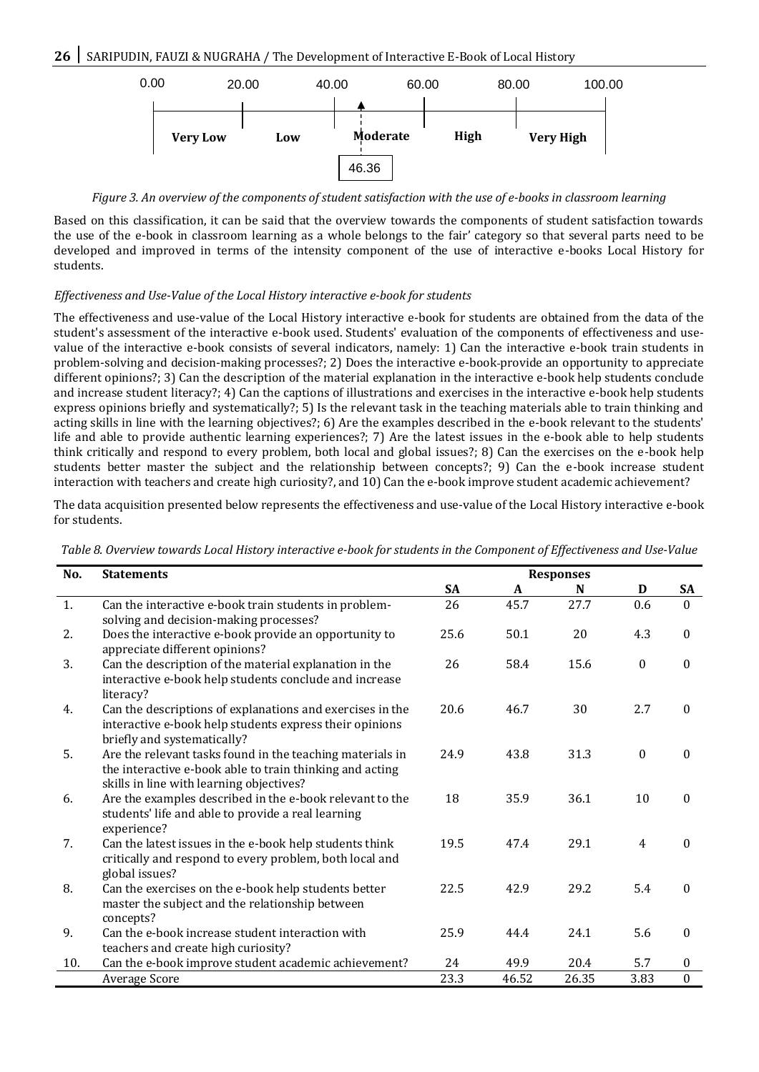

*Figure 3. An overview of the components of student satisfaction with the use of e-books in classroom learning*

Based on this classification, it can be said that the overview towards the components of student satisfaction towards the use of the e-book in classroom learning as a whole belongs to the fair' category so that several parts need to be developed and improved in terms of the intensity component of the use of interactive e-books Local History for students.

# *Effectiveness and Use-Value of the Local History interactive e-book for students*

The effectiveness and use-value of the Local History interactive e-book for students are obtained from the data of the student's assessment of the interactive e-book used. Students' evaluation of the components of effectiveness and usevalue of the interactive e-book consists of several indicators, namely: 1) Can the interactive e-book train students in problem-solving and decision-making processes?; 2) Does the interactive e-book provide an opportunity to appreciate different opinions?; 3) Can the description of the material explanation in the interactive e-book help students conclude and increase student literacy?; 4) Can the captions of illustrations and exercises in the interactive e-book help students express opinions briefly and systematically?; 5) Is the relevant task in the teaching materials able to train thinking and acting skills in line with the learning objectives?; 6) Are the examples described in the e-book relevant to the students' life and able to provide authentic learning experiences?; 7) Are the latest issues in the e-book able to help students think critically and respond to every problem, both local and global issues?; 8) Can the exercises on the e-book help students better master the subject and the relationship between concepts?; 9) Can the e-book increase student interaction with teachers and create high curiosity?, and 10) Can the e-book improve student academic achievement?

The data acquisition presented below represents the effectiveness and use-value of the Local History interactive e-book for students.

| Table 8. Overview towards Local History interactive e-book for students in the Component of Effectiveness and Use-Value |  |  |
|-------------------------------------------------------------------------------------------------------------------------|--|--|
|                                                                                                                         |  |  |

| No. | <b>Statements</b>                                                                                                                                                 |           |       | <b>Responses</b> |                  |                  |
|-----|-------------------------------------------------------------------------------------------------------------------------------------------------------------------|-----------|-------|------------------|------------------|------------------|
|     |                                                                                                                                                                   | <b>SA</b> | A     | N                | D                | <b>SA</b>        |
| 1.  | Can the interactive e-book train students in problem-<br>solving and decision-making processes?                                                                   | 26        | 45.7  | 27.7             | 0.6              | $\Omega$         |
| 2.  | Does the interactive e-book provide an opportunity to<br>appreciate different opinions?                                                                           | 25.6      | 50.1  | 20               | 4.3              | $\theta$         |
| 3.  | Can the description of the material explanation in the<br>interactive e-book help students conclude and increase<br>literacy?                                     | 26        | 58.4  | 15.6             | $\mathbf{0}$     | $\mathbf{0}$     |
| 4.  | Can the descriptions of explanations and exercises in the<br>interactive e-book help students express their opinions<br>briefly and systematically?               | 20.6      | 46.7  | 30               | 2.7              | $\boldsymbol{0}$ |
| 5.  | Are the relevant tasks found in the teaching materials in<br>the interactive e-book able to train thinking and acting<br>skills in line with learning objectives? | 24.9      | 43.8  | 31.3             | $\boldsymbol{0}$ | $\mathbf{0}$     |
| 6.  | Are the examples described in the e-book relevant to the<br>students' life and able to provide a real learning<br>experience?                                     | 18        | 35.9  | 36.1             | 10               | $\mathbf{0}$     |
| 7.  | Can the latest issues in the e-book help students think<br>critically and respond to every problem, both local and<br>global issues?                              | 19.5      | 47.4  | 29.1             | $\overline{4}$   | 0                |
| 8.  | Can the exercises on the e-book help students better<br>master the subject and the relationship between<br>concepts?                                              | 22.5      | 42.9  | 29.2             | 5.4              | $\theta$         |
| 9.  | Can the e-book increase student interaction with<br>teachers and create high curiosity?                                                                           | 25.9      | 44.4  | 24.1             | 5.6              | $\theta$         |
| 10. | Can the e-book improve student academic achievement?                                                                                                              | 24        | 49.9  | 20.4             | 5.7              | $\boldsymbol{0}$ |
|     | Average Score                                                                                                                                                     | 23.3      | 46.52 | 26.35            | 3.83             | 0                |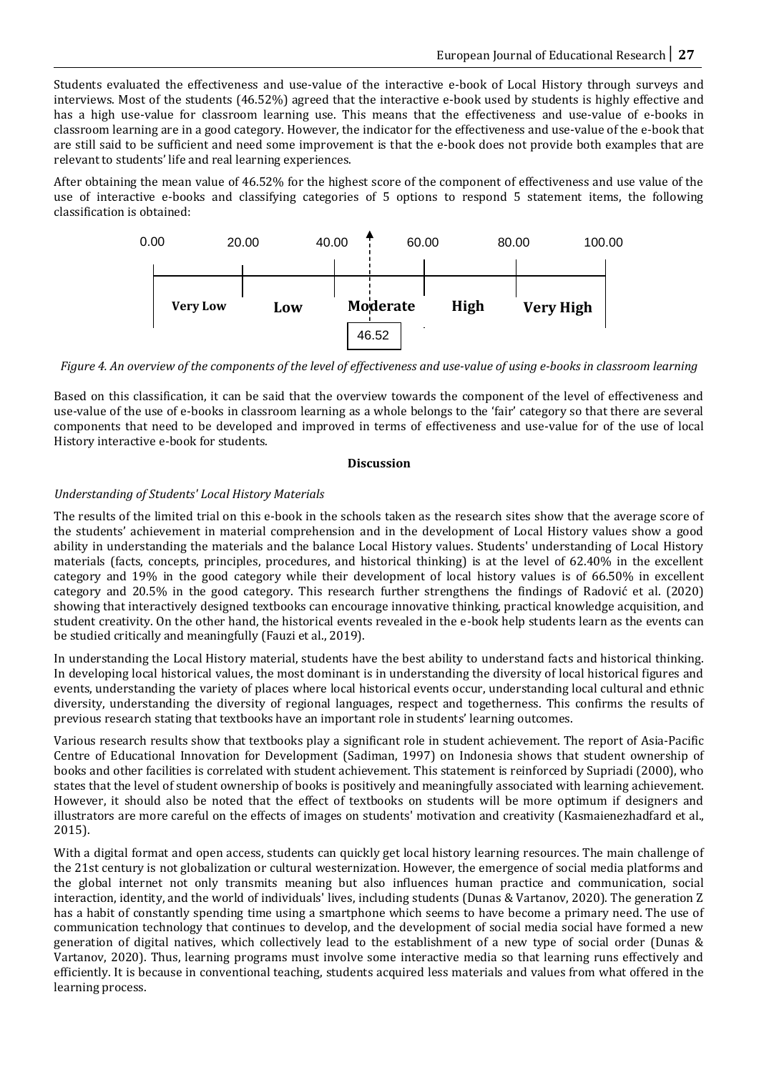Students evaluated the effectiveness and use-value of the interactive e-book of Local History through surveys and interviews. Most of the students (46.52%) agreed that the interactive e-book used by students is highly effective and has a high use-value for classroom learning use. This means that the effectiveness and use-value of e-books in classroom learning are in a good category. However, the indicator for the effectiveness and use-value of the e-book that are still said to be sufficient and need some improvement is that the e-book does not provide both examples that are relevant to students' life and real learning experiences.

After obtaining the mean value of 46.52% for the highest score of the component of effectiveness and use value of the use of interactive e-books and classifying categories of 5 options to respond 5 statement items, the following classification is obtained:



*Figure 4. An overview of the components of the level of effectiveness and use-value of using e-books in classroom learning*

Based on this classification, it can be said that the overview towards the component of the level of effectiveness and use-value of the use of e-books in classroom learning as a whole belongs to the 'fair' category so that there are several components that need to be developed and improved in terms of effectiveness and use-value for of the use of local History interactive e-book for students.

# **Discussion**

# *Understanding of Students' Local History Materials*

The results of the limited trial on this e-book in the schools taken as the research sites show that the average score of the students' achievement in material comprehension and in the development of Local History values show a good ability in understanding the materials and the balance Local History values. Students' understanding of Local History materials (facts, concepts, principles, procedures, and historical thinking) is at the level of 62.40% in the excellent category and 19% in the good category while their development of local history values is of 66.50% in excellent category and 20.5% in the good category. This research further strengthens the findings of Radović et al. (2020) showing that interactively designed textbooks can encourage innovative thinking, practical knowledge acquisition, and student creativity. On the other hand, the historical events revealed in the e-book help students learn as the events can be studied critically and meaningfully (Fauzi et al., 2019).

In understanding the Local History material, students have the best ability to understand facts and historical thinking. In developing local historical values, the most dominant is in understanding the diversity of local historical figures and events, understanding the variety of places where local historical events occur, understanding local cultural and ethnic diversity, understanding the diversity of regional languages, respect and togetherness. This confirms the results of previous research stating that textbooks have an important role in students' learning outcomes.

Various research results show that textbooks play a significant role in student achievement. The report of Asia-Pacific Centre of Educational Innovation for Development (Sadiman, 1997) on Indonesia shows that student ownership of books and other facilities is correlated with student achievement. This statement is reinforced by Supriadi (2000), who states that the level of student ownership of books is positively and meaningfully associated with learning achievement. However, it should also be noted that the effect of textbooks on students will be more optimum if designers and illustrators are more careful on the effects of images on students' motivation and creativity (Kasmaienezhadfard et al., 2015).

With a digital format and open access, students can quickly get local history learning resources. The main challenge of the 21st century is not globalization or cultural westernization. However, the emergence of social media platforms and the global internet not only transmits meaning but also influences human practice and communication, social interaction, identity, and the world of individuals' lives, including students (Dunas & Vartanov, 2020). The generation Z has a habit of constantly spending time using a smartphone which seems to have become a primary need. The use of communication technology that continues to develop, and the development of social media social have formed a new generation of digital natives, which collectively lead to the establishment of a new type of social order (Dunas & Vartanov, 2020). Thus, learning programs must involve some interactive media so that learning runs effectively and efficiently. It is because in conventional teaching, students acquired less materials and values from what offered in the learning process.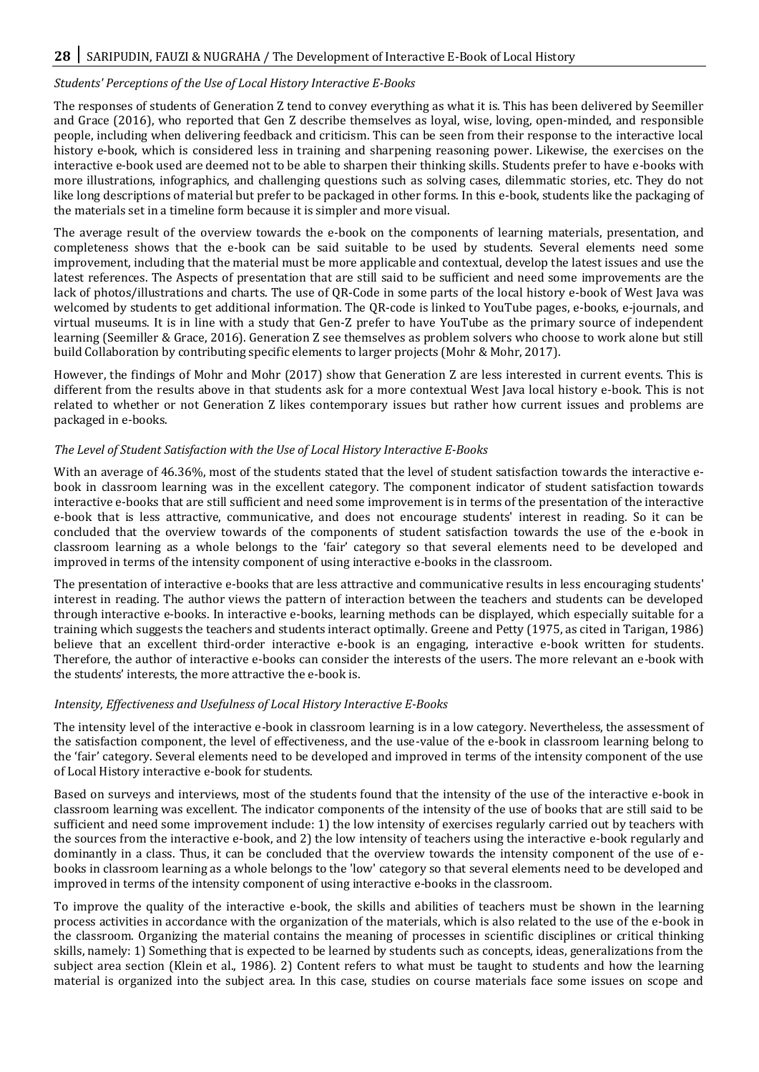# *Students' Perceptions of the Use of Local History Interactive E-Books*

The responses of students of Generation Z tend to convey everything as what it is. This has been delivered by Seemiller and Grace (2016), who reported that Gen Z describe themselves as loyal, wise, loving, open-minded, and responsible people, including when delivering feedback and criticism. This can be seen from their response to the interactive local history e-book, which is considered less in training and sharpening reasoning power. Likewise, the exercises on the interactive e-book used are deemed not to be able to sharpen their thinking skills. Students prefer to have e-books with more illustrations, infographics, and challenging questions such as solving cases, dilemmatic stories, etc. They do not like long descriptions of material but prefer to be packaged in other forms. In this e-book, students like the packaging of the materials set in a timeline form because it is simpler and more visual.

The average result of the overview towards the e-book on the components of learning materials, presentation, and completeness shows that the e-book can be said suitable to be used by students. Several elements need some improvement, including that the material must be more applicable and contextual, develop the latest issues and use the latest references. The Aspects of presentation that are still said to be sufficient and need some improvements are the lack of photos/illustrations and charts. The use of QR-Code in some parts of the local history e-book of West Java was welcomed by students to get additional information. The QR-code is linked to YouTube pages, e-books, e-journals, and virtual museums. It is in line with a study that Gen-Z prefer to have YouTube as the primary source of independent learning (Seemiller & Grace, 2016). Generation Z see themselves as problem solvers who choose to work alone but still build Collaboration by contributing specific elements to larger projects (Mohr & Mohr, 2017).

However, the findings of Mohr and Mohr (2017) show that Generation Z are less interested in current events. This is different from the results above in that students ask for a more contextual West Java local history e-book. This is not related to whether or not Generation Z likes contemporary issues but rather how current issues and problems are packaged in e-books.

# *The Level of Student Satisfaction with the Use of Local History Interactive E-Books*

With an average of 46.36%, most of the students stated that the level of student satisfaction towards the interactive ebook in classroom learning was in the excellent category. The component indicator of student satisfaction towards interactive e-books that are still sufficient and need some improvement is in terms of the presentation of the interactive e-book that is less attractive, communicative, and does not encourage students' interest in reading. So it can be concluded that the overview towards of the components of student satisfaction towards the use of the e-book in classroom learning as a whole belongs to the 'fair' category so that several elements need to be developed and improved in terms of the intensity component of using interactive e-books in the classroom.

The presentation of interactive e-books that are less attractive and communicative results in less encouraging students' interest in reading. The author views the pattern of interaction between the teachers and students can be developed through interactive e-books. In interactive e-books, learning methods can be displayed, which especially suitable for a training which suggests the teachers and students interact optimally. Greene and Petty (1975, as cited in Tarigan, 1986) believe that an excellent third-order interactive e-book is an engaging, interactive e-book written for students. Therefore, the author of interactive e-books can consider the interests of the users. The more relevant an e-book with the students' interests, the more attractive the e-book is.

# *Intensity, Effectiveness and Usefulness of Local History Interactive E-Books*

The intensity level of the interactive e-book in classroom learning is in a low category. Nevertheless, the assessment of the satisfaction component, the level of effectiveness, and the use-value of the e-book in classroom learning belong to the 'fair' category. Several elements need to be developed and improved in terms of the intensity component of the use of Local History interactive e-book for students.

Based on surveys and interviews, most of the students found that the intensity of the use of the interactive e-book in classroom learning was excellent. The indicator components of the intensity of the use of books that are still said to be sufficient and need some improvement include: 1) the low intensity of exercises regularly carried out by teachers with the sources from the interactive e-book, and 2) the low intensity of teachers using the interactive e-book regularly and dominantly in a class. Thus, it can be concluded that the overview towards the intensity component of the use of ebooks in classroom learning as a whole belongs to the 'low' category so that several elements need to be developed and improved in terms of the intensity component of using interactive e-books in the classroom.

To improve the quality of the interactive e-book, the skills and abilities of teachers must be shown in the learning process activities in accordance with the organization of the materials, which is also related to the use of the e-book in the classroom. Organizing the material contains the meaning of processes in scientific disciplines or critical thinking skills, namely: 1) Something that is expected to be learned by students such as concepts, ideas, generalizations from the subject area section (Klein et al., 1986). 2) Content refers to what must be taught to students and how the learning material is organized into the subject area. In this case, studies on course materials face some issues on scope and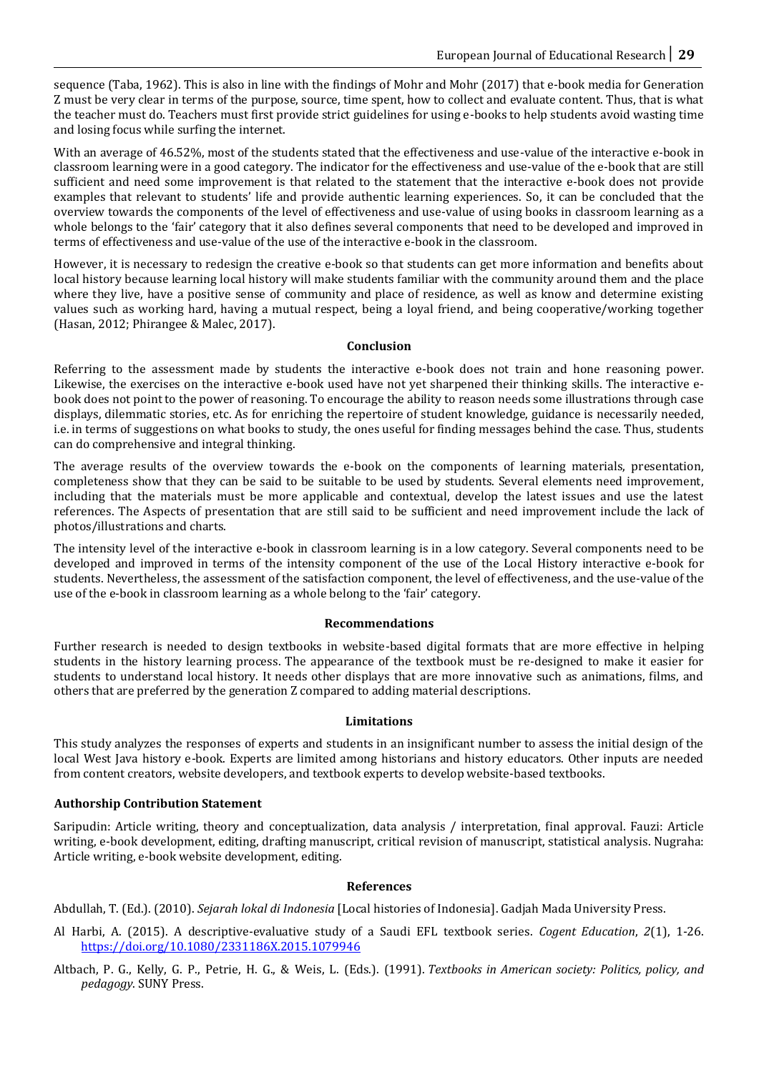sequence (Taba, 1962). This is also in line with the findings of Mohr and Mohr (2017) that e-book media for Generation Z must be very clear in terms of the purpose, source, time spent, how to collect and evaluate content. Thus, that is what the teacher must do. Teachers must first provide strict guidelines for using e-books to help students avoid wasting time and losing focus while surfing the internet.

With an average of 46.52%, most of the students stated that the effectiveness and use-value of the interactive e-book in classroom learning were in a good category. The indicator for the effectiveness and use-value of the e-book that are still sufficient and need some improvement is that related to the statement that the interactive e-book does not provide examples that relevant to students' life and provide authentic learning experiences. So, it can be concluded that the overview towards the components of the level of effectiveness and use-value of using books in classroom learning as a whole belongs to the 'fair' category that it also defines several components that need to be developed and improved in terms of effectiveness and use-value of the use of the interactive e-book in the classroom.

However, it is necessary to redesign the creative e-book so that students can get more information and benefits about local history because learning local history will make students familiar with the community around them and the place where they live, have a positive sense of community and place of residence, as well as know and determine existing values such as working hard, having a mutual respect, being a loyal friend, and being cooperative/working together (Hasan, 2012; Phirangee & Malec, 2017).

# **Conclusion**

Referring to the assessment made by students the interactive e-book does not train and hone reasoning power. Likewise, the exercises on the interactive e-book used have not yet sharpened their thinking skills. The interactive ebook does not point to the power of reasoning. To encourage the ability to reason needs some illustrations through case displays, dilemmatic stories, etc. As for enriching the repertoire of student knowledge, guidance is necessarily needed, i.e. in terms of suggestions on what books to study, the ones useful for finding messages behind the case. Thus, students can do comprehensive and integral thinking.

The average results of the overview towards the e-book on the components of learning materials, presentation, completeness show that they can be said to be suitable to be used by students. Several elements need improvement, including that the materials must be more applicable and contextual, develop the latest issues and use the latest references. The Aspects of presentation that are still said to be sufficient and need improvement include the lack of photos/illustrations and charts.

The intensity level of the interactive e-book in classroom learning is in a low category. Several components need to be developed and improved in terms of the intensity component of the use of the Local History interactive e-book for students. Nevertheless, the assessment of the satisfaction component, the level of effectiveness, and the use-value of the use of the e-book in classroom learning as a whole belong to the 'fair' category.

#### **Recommendations**

Further research is needed to design textbooks in website-based digital formats that are more effective in helping students in the history learning process. The appearance of the textbook must be re-designed to make it easier for students to understand local history. It needs other displays that are more innovative such as animations, films, and others that are preferred by the generation Z compared to adding material descriptions.

#### **Limitations**

This study analyzes the responses of experts and students in an insignificant number to assess the initial design of the local West Java history e-book. Experts are limited among historians and history educators. Other inputs are needed from content creators, website developers, and textbook experts to develop website-based textbooks.

#### **Authorship Contribution Statement**

Saripudin: Article writing, theory and conceptualization, data analysis / interpretation, final approval. Fauzi: Article writing, e-book development, editing, drafting manuscript, critical revision of manuscript, statistical analysis. Nugraha: Article writing, e-book website development, editing.

#### **References**

Abdullah, T. (Ed.). (2010). *Sejarah lokal di Indonesia* [Local histories of Indonesia]. Gadjah Mada University Press.

- Al Harbi, A. (2015). A descriptive-evaluative study of a Saudi EFL textbook series. *Cogent Education*, *2*(1), 1-26. <https://doi.org/10.1080/2331186X.2015.1079946>
- Altbach, P. G., Kelly, G. P., Petrie, H. G., & Weis, L. (Eds.). (1991). *Textbooks in American society: Politics, policy, and pedagogy*. SUNY Press.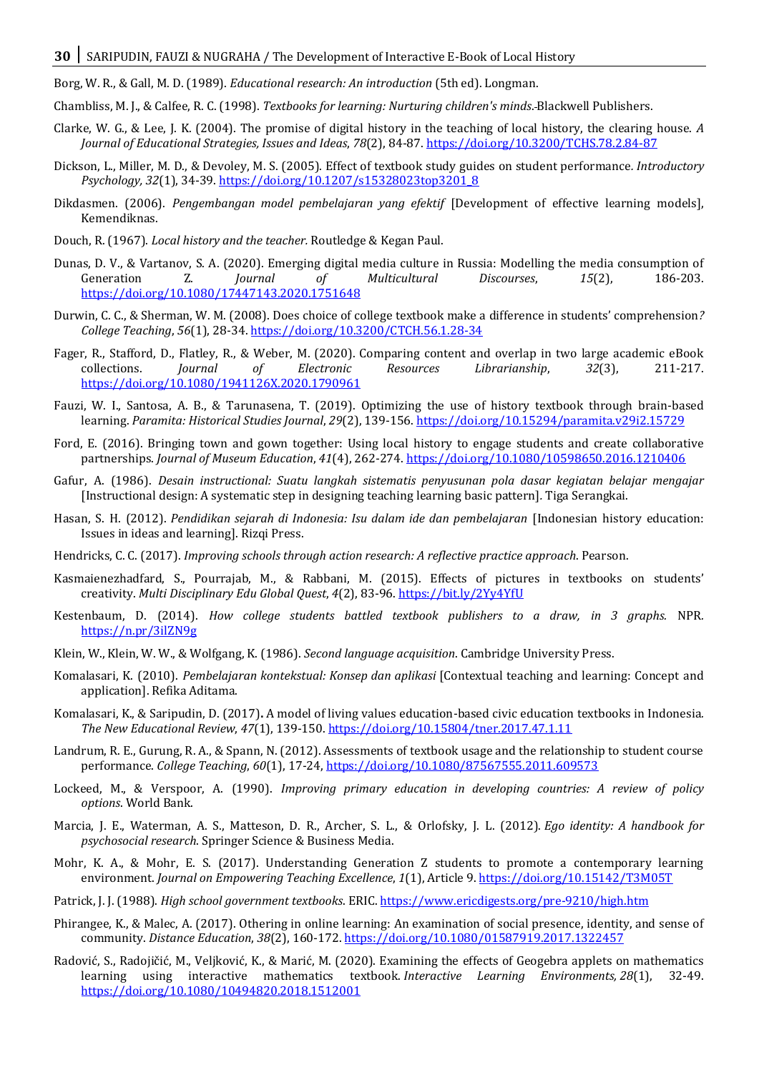Borg, W. R., & Gall, M. D. (1989). *Educational research: An introduction* (5th ed). Longman.

Chambliss, M. J., & Calfee, R. C. (1998). *Textbooks for learning: Nurturing children's minds*. Blackwell Publishers.

- Clarke, W. G., & Lee, J. K. (2004). The promise of digital history in the teaching of local history, the clearing house. *A Journal of Educational Strategies, Issues and Ideas*, *78*(2), 84-87[. https://doi.org/10.3200/TCHS.78.2.84-87](https://doi.org/10.3200/TCHS.78.2.84-87)
- Dickson, L., Miller, M. D., & Devoley, M. S. (2005). Effect of textbook study guides on student performance*. Introductory Psychology, 32*(1), 34-39. [https://doi.org/10.1207/s15328023top3201\\_8](https://doi.org/10.1207/s15328023top3201_8)
- Dikdasmen. (2006). *Pengembangan model pembelajaran yang efektif* [Development of effective learning models], Kemendiknas.
- Douch, R. (1967). *Local history and the teacher.* Routledge & Kegan Paul.
- Dunas, D. V., & Vartanov, S. A. (2020). Emerging digital media culture in Russia: Modelling the media consumption of Generation Z. *Journal of Multicultural Discourses*, *15*(2), 186-203. <https://doi.org/10.1080/17447143.2020.1751648>
- Durwin, C. C., & Sherman, W. M. (2008). Does choice of college textbook make a difference in students' comprehension*? College Teaching*, *56*(1), 28-34[. https://doi.org/10.3200/CTCH.56.1.28-34](https://doi.org/10.3200/CTCH.56.1.28-34)
- Fager, R., Stafford, D., Flatley, R., & Weber, M. (2020). Comparing content and overlap in two large academic eBook collections. *Journal of Electronic Resources Librarianship*, *32*(3), 211-217. <https://doi.org/10.1080/1941126X.2020.1790961>
- Fauzi, W. I., Santosa, A. B., & Tarunasena, T. (2019). Optimizing the use of history textbook through brain-based learning. *Paramita: Historical Studies Journal*, *29*(2), 139-156.<https://doi.org/10.15294/paramita.v29i2.15729>
- Ford, E. (2016). Bringing town and gown together: Using local history to engage students and create collaborative partnerships. *Journal of Museum Education*, *41*(4), 262-274.<https://doi.org/10.1080/10598650.2016.1210406>
- Gafur, A. (1986). *Desain instructional: Suatu langkah sistematis penyusunan pola dasar kegiatan belajar mengajar*  [Instructional design: A systematic step in designing teaching learning basic pattern]*.* Tiga Serangkai.
- Hasan, S. H. (2012). *Pendidikan sejarah di Indonesia: Isu dalam ide dan pembelajaran* [Indonesian history education: Issues in ideas and learning]. Rizqi Press.
- Hendricks, C. C. (2017). *Improving schools through action research: A reflective practice approach*. Pearson.
- Kasmaienezhadfard, S., Pourrajab, M., & Rabbani, M. (2015). Effects of pictures in textbooks on students' creativity. *Multi Disciplinary Edu Global Quest*, *4*(2), 83-96.<https://bit.ly/2Yy4YfU>
- Kestenbaum, D. (2014). *How college students battled textbook publishers to a draw, in 3 graphs.* NPR*.* <https://n.pr/3ilZN9g>
- Klein, W., Klein, W. W., & Wolfgang, K. (1986). *Second language acquisition*. Cambridge University Press.
- Komalasari, K. (2010). *Pembelajaran kontekstual: Konsep dan aplikasi* [Contextual teaching and learning: Concept and application]. Refika Aditama.
- Komalasari, K., & Saripudin, D. (2017)**.** A model of living values education-based civic education textbooks in Indonesia*. The New Educational Review*, *47*(1), 139-150[. https://doi.org/10.15804/tner.2017.47.1.11](https://doi.org/10.15804/tner.2017.47.1.11)
- Landrum, R. E., Gurung, R. A., & Spann, N. (2012). Assessments of textbook usage and the relationship to student course performance. *College Teaching*, *60*(1), 17-24,<https://doi.org/10.1080/87567555.2011.609573>
- Lockeed, M., & Verspoor, A. (1990). *Improving primary education in developing countries: A review of policy options*. World Bank.
- Marcia, J. E., Waterman, A. S., Matteson, D. R., Archer, S. L., & Orlofsky, J. L. (2012). *Ego identity: A handbook for psychosocial research*. Springer Science & Business Media.
- Mohr, K. A., & Mohr, E. S. (2017). Understanding Generation Z students to promote a contemporary learning environment. *Journal on Empowering Teaching Excellence*, *1*(1), Article 9.<https://doi.org/10.15142/T3M05T>
- Patrick, J. J. (1988). *High school government textbooks*. ERIC[. https://www.ericdigests.org/pre-9210/high.htm](https://www.ericdigests.org/pre-9210/high.htm)
- Phirangee, K., & Malec, A. (2017). Othering in online learning: An examination of social presence, identity, and sense of community. *Distance Education*, *38*(2), 160-172[. https://doi.org/10.1080/01587919.2017.1322457](https://doi.org/10.1080/01587919.2017.1322457)
- Radović, S., Radojičić, M., Veljković, K., & Marić, M. (2020). Examining the effects of Geogebra applets on mathematics learning using interactive mathematics textbook. *Interactive Learning Environments, 28*(1), 32-49. <https://doi.org/10.1080/10494820.2018.1512001>